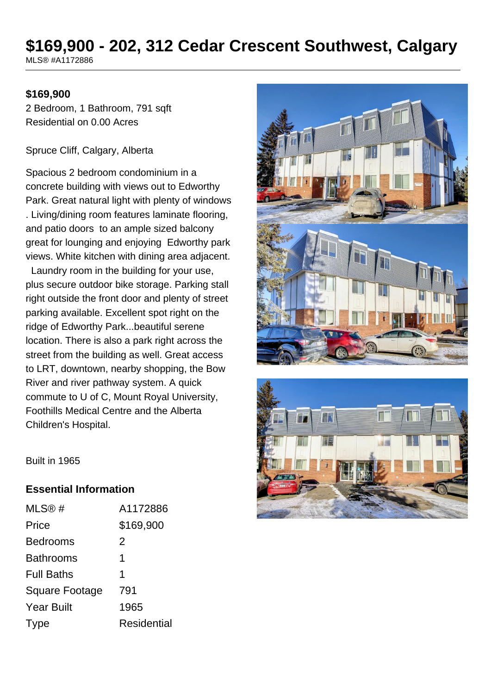# **\$169,900 - 202, 312 Cedar Crescent Southwest, Calgary**

MLS® #A1172886

#### **\$169,900**

2 Bedroom, 1 Bathroom, 791 sqft Residential on 0.00 Acres

Spruce Cliff, Calgary, Alberta

Spacious 2 bedroom condominium in a concrete building with views out to Edworthy Park. Great natural light with plenty of windows . Living/dining room features laminate flooring, and patio doors to an ample sized balcony great for lounging and enjoying Edworthy park views. White kitchen with dining area adjacent.

 Laundry room in the building for your use, plus secure outdoor bike storage. Parking stall right outside the front door and plenty of street parking available. Excellent spot right on the ridge of Edworthy Park...beautiful serene location. There is also a park right across the street from the building as well. Great access to LRT, downtown, nearby shopping, the Bow River and river pathway system. A quick commute to U of C, Mount Royal University, Foothills Medical Centre and the Alberta Children's Hospital.





Built in 1965

#### **Essential Information**

| MLS@#             | A1172886           |
|-------------------|--------------------|
| Price             | \$169,900          |
| Bedrooms          | 2                  |
| <b>Bathrooms</b>  | 1                  |
| <b>Full Baths</b> | 1                  |
| Square Footage    | 791                |
| Year Built        | 1965               |
| Type              | <b>Residential</b> |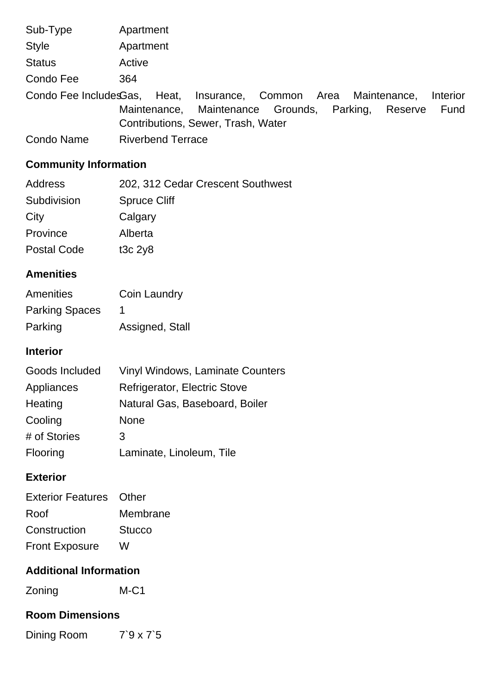| Sub-Type                     | Apartment                |                                            |  |         |          |
|------------------------------|--------------------------|--------------------------------------------|--|---------|----------|
| <b>Style</b>                 | Apartment                |                                            |  |         |          |
| <b>Status</b>                | Active                   |                                            |  |         |          |
| Condo Fee                    | 364                      |                                            |  |         |          |
| Condo Fee IncludesGas, Heat, |                          | Insurance, Common Area Maintenance,        |  |         | Interior |
|                              |                          | Maintenance, Maintenance Grounds, Parking, |  | Reserve | Fund     |
|                              |                          | Contributions, Sewer, Trash, Water         |  |         |          |
| <b>Condo Name</b>            | <b>Riverbend Terrace</b> |                                            |  |         |          |

# **Community Information**

| Address            | 202, 312 Cedar Crescent Southwest |
|--------------------|-----------------------------------|
| Subdivision        | <b>Spruce Cliff</b>               |
| City               | Calgary                           |
| Province           | Alberta                           |
| <b>Postal Code</b> | t <sub>3</sub> c $2y8$            |

# **Amenities**

| Amenities             | Coin Laundry    |
|-----------------------|-----------------|
| <b>Parking Spaces</b> |                 |
| Parking               | Assigned, Stall |

### **Interior**

| Goods Included | <b>Vinyl Windows, Laminate Counters</b> |
|----------------|-----------------------------------------|
| Appliances     | Refrigerator, Electric Stove            |
| Heating        | Natural Gas, Baseboard, Boiler          |
| Cooling        | <b>None</b>                             |
| # of Stories   | 3                                       |
| Flooring       | Laminate, Linoleum, Tile                |

# **Exterior**

| <b>Exterior Features</b> Other |               |
|--------------------------------|---------------|
| Roof                           | Membrane      |
| Construction                   | <b>Stucco</b> |
| <b>Front Exposure</b>          | w             |

#### **Additional Information**

Zoning M-C1

# **Room Dimensions**

Dining Room 7`9 x 7`5